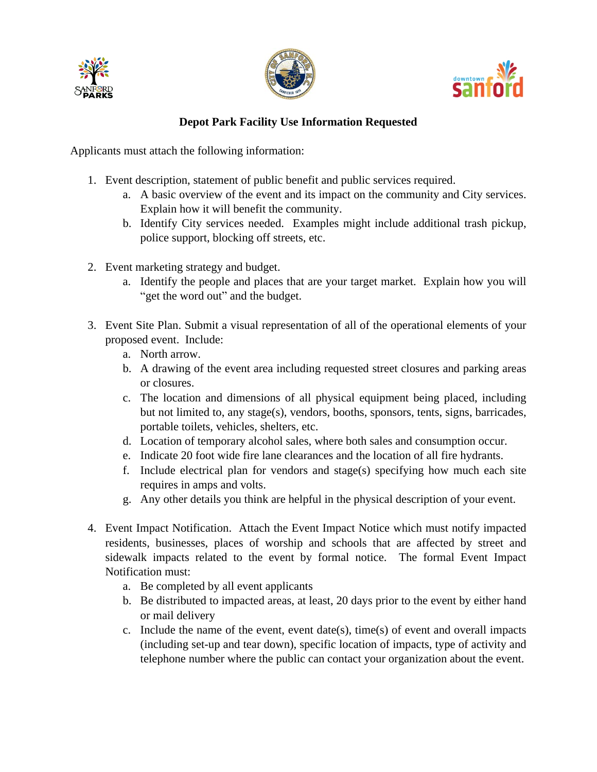





## **Depot Park Facility Use Information Requested**

Applicants must attach the following information:

- 1. Event description, statement of public benefit and public services required.
	- a. A basic overview of the event and its impact on the community and City services. Explain how it will benefit the community.
	- b. Identify City services needed. Examples might include additional trash pickup, police support, blocking off streets, etc.
- 2. Event marketing strategy and budget.
	- a. Identify the people and places that are your target market. Explain how you will "get the word out" and the budget.
- 3. Event Site Plan. Submit a visual representation of all of the operational elements of your proposed event. Include:
	- a. North arrow.
	- b. A drawing of the event area including requested street closures and parking areas or closures.
	- c. The location and dimensions of all physical equipment being placed, including but not limited to, any stage(s), vendors, booths, sponsors, tents, signs, barricades, portable toilets, vehicles, shelters, etc.
	- d. Location of temporary alcohol sales, where both sales and consumption occur.
	- e. Indicate 20 foot wide fire lane clearances and the location of all fire hydrants.
	- f. Include electrical plan for vendors and stage(s) specifying how much each site requires in amps and volts.
	- g. Any other details you think are helpful in the physical description of your event.
- 4. Event Impact Notification. Attach the Event Impact Notice which must notify impacted residents, businesses, places of worship and schools that are affected by street and sidewalk impacts related to the event by formal notice. The formal Event Impact Notification must:
	- a. Be completed by all event applicants
	- b. Be distributed to impacted areas, at least, 20 days prior to the event by either hand or mail delivery
	- c. Include the name of the event, event date(s), time(s) of event and overall impacts (including set-up and tear down), specific location of impacts, type of activity and telephone number where the public can contact your organization about the event.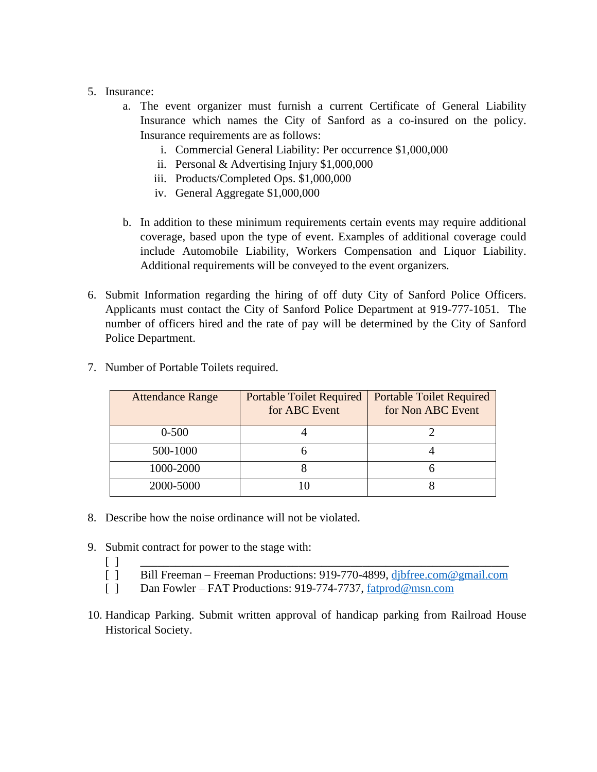- 5. Insurance:
	- a. The event organizer must furnish a current Certificate of General Liability Insurance which names the City of Sanford as a co-insured on the policy. Insurance requirements are as follows:
		- i. Commercial General Liability: Per occurrence \$1,000,000
		- ii. Personal & Advertising Injury \$1,000,000
		- iii. Products/Completed Ops. \$1,000,000
		- iv. General Aggregate \$1,000,000
	- b. In addition to these minimum requirements certain events may require additional coverage, based upon the type of event. Examples of additional coverage could include Automobile Liability, Workers Compensation and Liquor Liability. Additional requirements will be conveyed to the event organizers.
- 6. Submit Information regarding the hiring of off duty City of Sanford Police Officers. Applicants must contact the City of Sanford Police Department at 919-777-1051. The number of officers hired and the rate of pay will be determined by the City of Sanford Police Department.

| <b>Attendance Range</b> | <b>Portable Toilet Required</b><br>for ABC Event | <b>Portable Toilet Required</b><br>for Non ABC Event |
|-------------------------|--------------------------------------------------|------------------------------------------------------|
| $0 - 500$               |                                                  |                                                      |
| 500-1000                |                                                  |                                                      |
| 1000-2000               |                                                  |                                                      |
| 2000-5000               |                                                  |                                                      |

7. Number of Portable Toilets required.

- 8. Describe how the noise ordinance will not be violated.
- 9. Submit contract for power to the stage with:
	- [ ] \_\_\_\_\_\_\_\_\_\_\_\_\_\_\_\_\_\_\_\_\_\_\_\_\_\_\_\_\_\_\_\_\_\_\_\_\_\_\_\_\_\_\_\_\_\_\_\_\_\_\_\_\_\_\_\_\_\_\_\_\_\_\_
	- [ ] Bill Freeman Freeman Productions: 919-770-4899, dibfree.com@gmail.com
	- [ ] Dan Fowler FAT Productions: 919-774-7737, [fatprod@msn.com](mailto:fatprod@msn.com)
- 10. Handicap Parking. Submit written approval of handicap parking from Railroad House Historical Society.